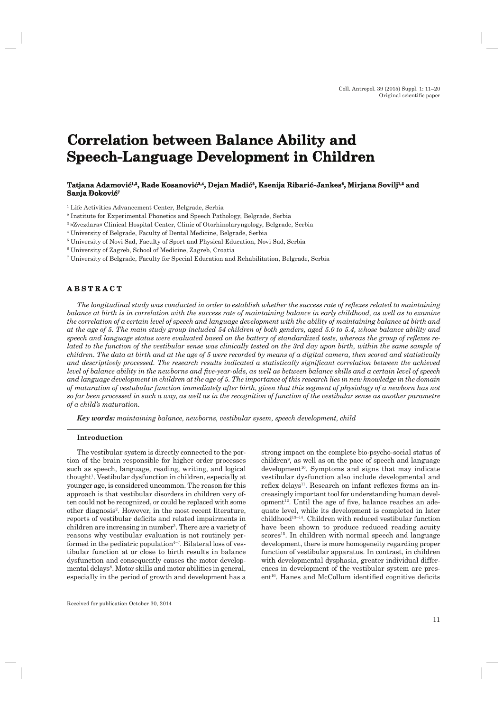# **Correlation between Balance Ability and Speech-Language Development in Children**

# $\bf{T}$ atjana Adamović $^{1,2}$ , Rade Kosanović $^{3,4}$ , Dejan Madić $^{5}$ , Ksenija Ribarić-Jankes $^{6}$ , Mirjana Sovilj $^{1,2}$  and **Sanja Đoković<sup>7</sup>**

1 Life Activities Advancement Center, Belgrade, Serbia

2 Institute for Experimental Phonetics and Speech Pathology, Belgrade, Serbia

3 »Zvezdara« Clinical Hospital Center, Clinic of Otorhinolaryngology, Belgrade, Serbia

4 University of Belgrade, Faculty of Dental Medicine, Belgrade, Serbia

5 University of Novi Sad, Faculty of Sport and Physical Education, Novi Sad, Serbia

6 University of Zagreb, School of Medicine, Zagreb, Croatia

7 University of Belgrade, Faculty for Special Education and Rehabilitation, Belgrade, Serbia

# **ABSTRACT B S T R A C T**

*The longitudinal study was conducted in order to establish whether the success rate of reflexes related to maintaining balance at birth is in correlation with the success rate of maintaining balance in early childhood, as well as to examine the correlation of a certain level of speech and language development with the ability of maintaining balance at birth and at the age of 5. The main study group included 54 children of both genders, aged 5.0 to 5.4, whose balance ability and*  speech and language status were evaluated based on the battery of standardized tests, whereas the group of reflexes re*lated to the function of the vestibular sense was clinically tested on the 3rd day upon birth, within the same sample of children. The data at birth and at the age of 5 were recorded by means of a digital camera, then scored and statistically*  and descriptively processed. The research results indicated a statistically significant correlation between the achieved *level of balance ability in the newborns and five-year-olds, as well as between balance skills and a certain level of speech and language development in children at the age of 5. The importance of this research lies in new knowledge in the domain of maturation of vestubular function immediately after birth, given that this segment of physiology of a newborn has not so far been processed in such a way, as well as in the recognition of function of the vestibular sense as another parametre of a child's maturation.*

*Key words: maintaining balance, newborns, vestibular sysem, speech development, child*

## **Introduction**

The vestibular system is directly connected to the portion of the brain responsible for higher order processes such as speech, language, reading, writing, and logical thought<sup>1</sup>. Vestibular dysfunction in children, especially at younger age, is considered uncommon. The reason for this approach is that vestibular disorders in children very often could not be recognized, or could be replaced with some other diagnosis2. However, in the most recent literature, reports of vestibular deficits and related impairments in children are increasing in number<sup>3</sup>. There are a variety of reasons why vestibular evaluation is not routinely performed in the pediatric population $4-7$ . Bilateral loss of vestibular function at or close to birth results in balance dysfunction and consequently causes the motor developmental delays<sup>8</sup>. Motor skills and motor abilities in general, especially in the period of growth and development has a

strong impact on the complete bio-psycho-social status of children9 , as well as on the pace of speech and language development<sup>10</sup>. Symptoms and signs that may indicate vestibular dysfunction also include developmental and reflex delays<sup>11</sup>. Research on infant reflexes forms an increasingly important tool for understanding human devel $opment<sup>12</sup>$ . Until the age of five, balance reaches an adequate level, while its development is completed in later childhood13–14. Children with reduced vestibular function have been shown to produce reduced reading acuity scores<sup>15</sup>. In children with normal speech and language development, there is more homogeneity regarding proper function of vestibular apparatus. In contrast, in children with developmental dysphasia, greater individual differences in development of the vestibular system are pres $ent<sup>16</sup>$ . Hanes and McCollum identified cognitive deficits

Received for publication October 30, 2014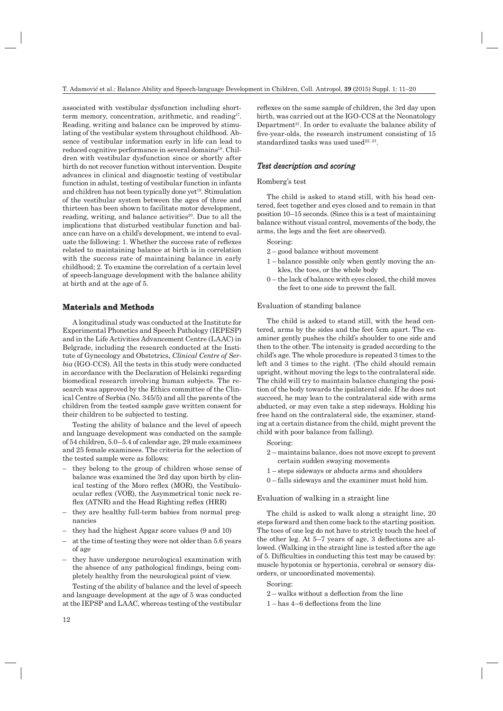associated with vestibular dysfunction including shortterm memory, concentration, arithmetic, and reading<sup>17</sup>. Reading, writing and balance can be improved by stimulating of the vestibular system throughout childhood. Absence of vestibular information early in life can lead to reduced cognitive performance in several domains<sup>18</sup>. Children with vestibular dysfunction since or shortly after birth do not recover function without intervention. Despite advances in clinical and diagnostic testing of vestibular function in adulst, testing of vestibular function in infants and children has not been typically done yet<sup>19</sup>. Stimulation of the vestibular system between the ages of three and thirteen has been shown to facilitate motor development, reading, writing, and balance activities $20$ . Due to all the implications that disturbed vestibular function and balance can have on a child's development, we intend to evaluate the following: 1. Whether the success rate of reflexes related to maintaining balance at birth is in correlation with the success rate of maintaining balance in early childhood; 2. To examine the correlation of a certain level of speech-language development with the balance ability at birth and at the age of 5.

# **Materials and Methods aterials**

A longitudinal study was conducted at the Institute for Experimental Phonetics and Speech Pathology (IEPESP) and in the Life Activities Advancement Centre (LAAC) in Belgrade, including the research conducted at the Institute of Gynecology and Obstetrics, *Clinical Centre of Serbia* (IGO-CCS). All the tests in this study were conducted in accordance with the Declaration of Helsinki regarding biomedical research involving human subjects. The research was approved by the Ethics committee of the Clinical Centre of Serbia (No. 345/5) and all the parents of the children from the tested sample gave written consent for their children to be subjected to testing.

Testing the ability of balance and the level of speech and language development was conducted on the sample of 54 children, 5.0–5.4 of calendar age, 29 male examinees and 25 female examinees. The criteria for the selection of the tested sample were as follows:

- they belong to the group of children whose sense of balance was examined the 3rd day upon birth by clinical testing of the Moro reflex (MOR), the Vestibuloocular reflex (VOR), the Asymmetrical tonic neck reflex ( $ATNR$ ) and the Head Righting reflex ( $HRR$ )
- they are healthy full-term babies from normal pregnancies
- they had the highest Apgar score values (9 and 10)
- at the time of testing they were not older than 5.6 years of age
- they have undergone neurological examination with the absence of any pathological findings, being completely healthy from the neurological point of view.

Testing of the ability of balance and the level of speech and language development at the age of 5 was conducted at the IEPSP and LAAC, whereas testing of the vestibular reflexes on the same sample of children, the 3rd day upon birth, was carried out at the IGO-CCS at the Neonatology Department<sup>21</sup>. In order to evaluate the balance ability of five-year-olds, the research instrument consisting of 15 standardized tasks was used used $22, 23$ .

# *Test description and scoring*

#### Romberg's test

The child is asked to stand still, with his head centered, feet together and eyes closed and to remain in that position 10–15 seconds. (Since this is a test of maintaining balance without visual control, movements of the body, the arms, the legs and the feet are observed).

#### Scoring:

- 2 good balance without movement
- 1 balance possible only when gently moving the ankles, the toes, or the whole body
- 0 the lack of balance with eyes closed, the child moves the feet to one side to prevent the fall.

#### Evaluation of standing balance

The child is asked to stand still, with the head centered, arms by the sides and the feet 5cm apart. The examiner gently pushes the child's shoulder to one side and then to the other. The intensity is graded according to the child's age. The whole procedure is repeated 3 times to the left and 3 times to the right. (The child should remain upright, without moving the legs to the contralateral side. The child will try to maintain balance changing the position of the body towards the ipsilateral side. If he does not succeed, he may lean to the contralateral side with arms abducted, or may even take a step sideways. Holding his free hand on the contralateral side, the examiner, standing at a certain distance from the child, might prevent the child with poor balance from falling).

- Scoring:
- 2 maintains balance, does not move except to prevent certain sudden swaying movements
- 1 steps sideways or abducts arms and shoulders
- 0 falls sideways and the examiner must hold him.

## Evaluation of walking in a straight line

The child is asked to walk along a straight line, 20 steps forward and then come back to the starting position. The toes of one leg do not have to strictly touch the heel of the other leg. At  $5-7$  years of age, 3 deflections are allowed. (Walking in the straight line is tested after the age of 5. Difficulties in conducting this test may be caused by: muscle hypotonia or hypertonia, cerebral or sensory disorders, or uncoordinated movements).

Scoring:

- $2$  walks without a deflection from the line
- $1 -$ has  $4 6$  deflections from the line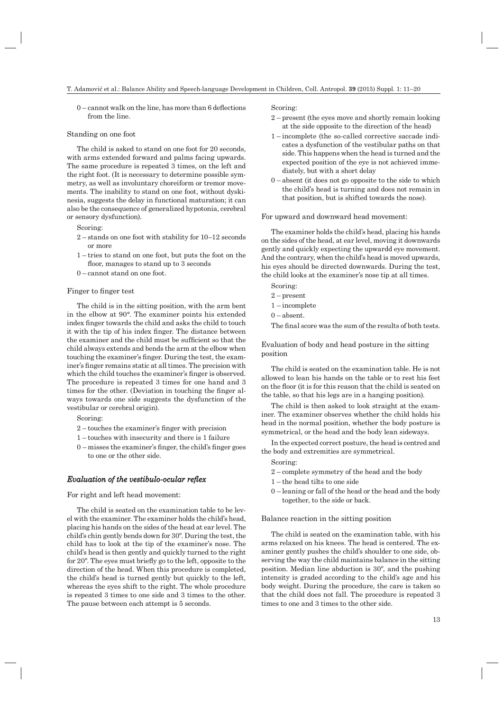$0$  – cannot walk on the line, has more than 6 deflections from the line.

### Standing on one foot

The child is asked to stand on one foot for 20 seconds, with arms extended forward and palms facing upwards. The same procedure is repeated 3 times, on the left and the right foot. (It is necessary to determine possible symmetry, as well as involuntary choreiform or tremor movements. The inability to stand on one foot, without dyskinesia, suggests the delay in functional maturation; it can also be the consequence of generalized hypotonia, cerebral or sensory dysfunction).

Scoring:

- 2 stands on one foot with stability for 10–12 seconds or more
- 1 tries to stand on one foot, but puts the foot on the floor, manages to stand up to 3 seconds
- 0 cannot stand on one foot.

## Finger to finger test

The child is in the sitting position, with the arm bent in the elbow at 90°. The examiner points his extended index finger towards the child and asks the child to touch it with the tip of his index finger. The distance between the examiner and the child must be sufficient so that the child always extends and bends the arm at the elbow when touching the examiner's finger. During the test, the examiner's finger remains static at all times. The precision with which the child touches the examiner's finger is observed. The procedure is repeated 3 times for one hand and 3 times for the other. (Deviation in touching the finger always towards one side suggests the dysfunction of the vestibular or cerebral origin).

Scoring:

- $2$  touches the examiner's finger with precision
- 1 touches with insecurity and there is 1 failure
- $0$  misses the examiner's finger, the child's finger goes to one or the other side.

# *Evaluation of the vestibulo-ocular reflex*

For right and left head movement:

The child is seated on the examination table to be level with the examiner. The examiner holds the child's head, placing his hands on the sides of the head at ear level. The child's chin gently bends down for 30º. During the test, the child has to look at the tip of the examiner's nose. The child's head is then gently and quickly turned to the right for 20°. The eyes must briefly go to the left, opposite to the direction of the head. When this procedure is completed, the child's head is turned gently but quickly to the left, whereas the eyes shift to the right. The whole procedure is repeated 3 times to one side and 3 times to the other. The pause between each attempt is 5 seconds.

Scoring:

- 2 present (the eyes move and shortly remain looking at the side opposite to the direction of the head)
- 1 incomplete (the so-called corrective saccade indicates a dysfunction of the vestibular paths on that side. This happens when the head is turned and the expected position of the eye is not achieved immediately, but with a short delay
- $0$  absent (it does not go opposite to the side to which the child's head is turning and does not remain in that position, but is shifted towards the nose).

For upward and downward head movement:

The examiner holds the child's head, placing his hands on the sides of the head, at ear level, moving it downwards gently and quickly expecting the upwardd eye movement. And the contrary, when the child's head is moved upwards, his eyes should be directed downwards. During the test, the child looks at the examiner's nose tip at all times.

Scoring:

- 2 present
- 1 incomplete
- $0 -$ absent.

The final score was the sum of the results of both tests.

Evaluation of body and head posture in the sitting position

The child is seated on the examination table. He is not allowed to lean his hands on the table or to rest his feet on the floor (it is for this reason that the child is seated on the table, so that his legs are in a hanging position).

The child is then asked to look straight at the examiner. The examiner observes whether the child holds his head in the normal position, whether the body posture is symmetrical, or the head and the body lean sideways.

In the expected correct posture, the head is centred and the body and extremities are symmetrical.

Scoring:

- 2 complete symmetry of the head and the body
- 1 the head tilts to one side
- 0 leaning or fall of the head or the head and the body together, to the side or back.

Balance reaction in the sitting position

The child is seated on the examination table, with his arms relaxed on his knees. The head is centered. The examiner gently pushes the child's shoulder to one side, observing the way the child maintains balance in the sitting position. Median line abduction is 30º, and the pushing intensity is graded according to the child's age and his body weight. During the procedure, the care is taken so that the child does not fall. The procedure is repeated 3 times to one and 3 times to the other side.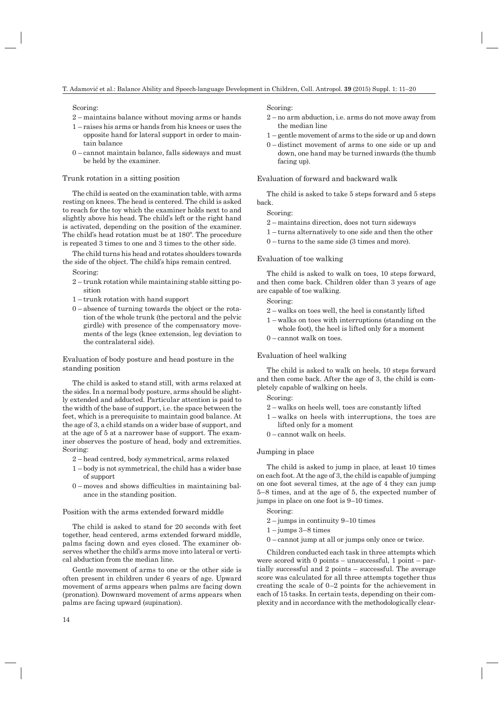## Scoring:

- 2 maintains balance without moving arms or hands
- 1 raises his arms or hands from his knees or uses the opposite hand for lateral support in order to maintain balance
- 0 cannot maintain balance, falls sideways and must be held by the examiner.

#### Trunk rotation in a sitting position

The child is seated on the examination table, with arms resting on knees. The head is centered. The child is asked to reach for the toy which the examiner holds next to and slightly above his head. The child's left or the right hand is activated, depending on the position of the examiner. The child's head rotation must be at 180º. The procedure is repeated 3 times to one and 3 times to the other side.

The child turns his head and rotates shoulders towards the side of the object. The child's hips remain centred.

Scoring:

- 2 trunk rotation while maintaining stable sitting position
- 1 trunk rotation with hand support
- 0 absence of turning towards the object or the rotation of the whole trunk (the pectoral and the pelvic girdle) with presence of the compensatory movements of the legs (knee extension, leg deviation to the contralateral side).

Evaluation of body posture and head posture in the standing position

The child is asked to stand still, with arms relaxed at the sides. In a normal body posture, arms should be slightly extended and adducted. Particular attention is paid to the width of the base of support, i.e. the space between the feet, which is a prerequisite to maintain good balance. At the age of 3, a child stands on a wider base of support, and at the age of 5 at a narrower base of support. The examiner observes the posture of head, body and extremities. Scoring:

- 2 head centred, body symmetrical, arms relaxed
- 1 body is not symmetrical, the child has a wider base of support
- $0$  moves and shows difficulties in maintaining balance in the standing position.

## Position with the arms extended forward middle

The child is asked to stand for 20 seconds with feet together, head centered, arms extended forward middle, palms facing down and eyes closed. The examiner observes whether the child's arms move into lateral or vertical abduction from the median line.

Gentle movement of arms to one or the other side is often present in children under 6 years of age. Upward movement of arms appears when palms are facing down (pronation). Downward movement of arms appears when palms are facing upward (supination).

Scoring:

- 2 no arm abduction, i.e. arms do not move away from the median line
- 1 gentle movement of arms to the side or up and down
- 0 distinct movement of arms to one side or up and down, one hand may be turned inwards (the thumb facing up).

## Evaluation of forward and backward walk

The child is asked to take 5 steps forward and 5 steps back.

#### Scoring:

- 2 maintains direction, does not turn sideways
- 1 turns alternatively to one side and then the other
- 0 turns to the same side (3 times and more).

#### Evaluation of toe walking

The child is asked to walk on toes, 10 steps forward, and then come back. Children older than 3 years of age are capable of toe walking.

#### Scoring:

- 2 walks on toes well, the heel is constantly lifted
- 1 walks on toes with interruptions (standing on the whole foot), the heel is lifted only for a moment
- 0 cannot walk on toes.

#### Evaluation of heel walking

The child is asked to walk on heels, 10 steps forward and then come back. After the age of 3, the child is completely capable of walking on heels.

Scoring:

- 2 walks on heels well, toes are constantly lifted
- 1 walks on heels with interruptions, the toes are lifted only for a moment
- 0 cannot walk on heels.

## Jumping in place

The child is asked to jump in place, at least 10 times on each foot. At the age of 3, the child is capable of jumping on one foot several times, at the age of 4 they can jump 5–8 times, and at the age of 5, the expected number of jumps in place on one foot is 9–10 times.

#### Scoring:

- 2 jumps in continuity 9–10 times
- $1 -$ jumps  $3 8$  times
- 0 cannot jump at all or jumps only once or twice.

Children conducted each task in three attempts which were scored with  $0$  points – unsuccessful,  $1$  point – partially successful and 2 points – successful. The average score was calculated for all three attempts together thus creating the scale of 0–2 points for the achievement in each of 15 tasks. In certain tests, depending on their complexity and in accordance with the methodologically clear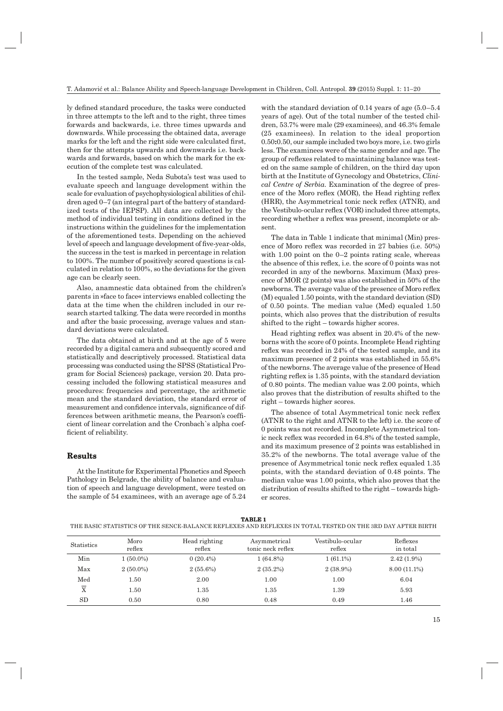ly defined standard procedure, the tasks were conducted in three attempts to the left and to the right, three times forwards and backwards, i.e. three times upwards and downwards. While processing the obtained data, average marks for the left and the right side were calculated first, then for the attempts upwards and downwards i.e. backwards and forwards, based on which the mark for the execution of the complete test was calculated.

In the tested sample, Neda Subota's test was used to evaluate speech and language development within the scale for evaluation of psychophysiological abilities of children aged 0–7 (an integral part of the battery of standardized tests of the IEPSP). All data are collected by the method of individual testing in conditions defined in the instructions within the guidelines for the implementation of the aforementioned tests. Depending on the achieved level of speech and language development of five-year-olds, the success in the test is marked in percentage in relation to 100%. The number of positively scored questions is calculated in relation to 100%, so the deviations for the given age can be clearly seen.

Also, anamnestic data obtained from the children's parents in »face to face« interviews enabled collecting the data at the time when the children included in our research started talking. The data were recorded in months and after the basic processing, average values and standard deviations were calculated.

The data obtained at birth and at the age of 5 were recorded by a digital camera and subsequently scored and statistically and descriptively processed. Statistical data processing was conducted using the SPSS (Statistical Program for Social Sciences) package, version 20. Data processing included the following statistical measures and procedures: frequencies and percentage, the arithmetic mean and the standard deviation, the standard error of measurement and confidence intervals, significance of differences between arithmetic means, the Pearson's coefficient of linear correlation and the Cronbach`s alpha coefficient of reliability.

## **Results**

At the Institute for Experimental Phonetics and Speech Pathology in Belgrade, the ability of balance and evaluation of speech and language development, were tested on the sample of 54 examinees, with an average age of 5.24

with the standard deviation of 0.14 years of age (5.0–5.4 years of age). Out of the total number of the tested children, 53.7% were male (29 examinees), and 46.3% female (25 examinees). In relation to the ideal proportion 0.50**:**0.50, our sample included two boys more, i.e. two girls less. The examinees were of the same gender and age. The group of reflexes related to maintaining balance was tested on the same sample of children, on the third day upon birth at the Institute of Gynecology and Obstetrics, *Clinical Centre of Serbia*. Examination of the degree of presence of the Moro reflex (MOR), the Head righting reflex  $(HRR)$ , the Asymmetrical tonic neck reflex  $(ATNR)$ , and the Vestibulo-ocular reflex (VOR) included three attempts, recording whether a reflex was present, incomplete or absent.

The data in Table 1 indicate that minimal (Min) presence of Moro reflex was recorded in  $27$  babies (i.e.  $50\%$ ) with 1.00 point on the 0–2 points rating scale, whereas the absence of this reflex, i.e. the score of 0 points was not recorded in any of the newborns. Maximum (Max) presence of MOR (2 points) was also established in 50% of the newborns. The average value of the presence of Moro reflex (M) equaled 1.50 points, with the standard deviation (SD) of 0.50 points. The median value (Med) equaled 1.50 points, which also proves that the distribution of results shifted to the right – towards higher scores.

Head righting reflex was absent in 20.4% of the newborns with the score of 0 points. Incomplete Head righting reflex was recorded in 24% of the tested sample, and its maximum presence of 2 points was established in 55.6% of the newborns. The average value of the presence of Head righting reflex is  $1.35$  points, with the standard deviation of 0.80 points. The median value was 2.00 points, which also proves that the distribution of results shifted to the right – towards higher scores.

The absence of total Asymmetrical tonic neck reflex (ATNR to the right and ATNR to the left) i.e. the score of 0 points was not recorded. Incomplete Asymmetrical tonic neck reflex was recorded in 64.8% of the tested sample, and its maximum presence of 2 points was established in 35.2% of the newborns. The total average value of the presence of Asymmetrical tonic neck reflex equaled 1.35 points, with the standard deviation of 0.48 points. The median value was 1.00 points, which also proves that the distribution of results shifted to the right – towards higher scores.

**TABLE 1**

THE BASIC STATISTICS OF THE SENCE-BALANCE REFLEXES AND REFLEXES IN TOTAL TESTED ON THE 3RD DAY AFTER BIRTH

| <b>Statistics</b>       | Moro<br>reflex | Head righting<br>reflex | Asymmetrical<br>tonic neck reflex | Vestibulo-ocular<br>reflex | Reflexes<br>in total |
|-------------------------|----------------|-------------------------|-----------------------------------|----------------------------|----------------------|
| Min                     | $1(50.0\%)$    | $0(20.4\%)$             | $1(64.8\%)$                       | $1(61.1\%)$                | $2.42(1.9\%)$        |
| Max                     | $2(50.0\%)$    | $2(55.6\%)$             | $2(35.2\%)$                       | $2(38.9\%)$                | 8.00 (11.1%)         |
| Med                     | $1.50\,$       | 2.00                    | 1.00                              | 1.00                       | 6.04                 |
| $\overline{\mathrm{x}}$ | l.50           | 1.35                    | 1.35                              | 1.39                       | 5.93                 |
| <b>SD</b>               | 0.50           | 0.80                    | 0.48                              | 0.49                       | 1.46                 |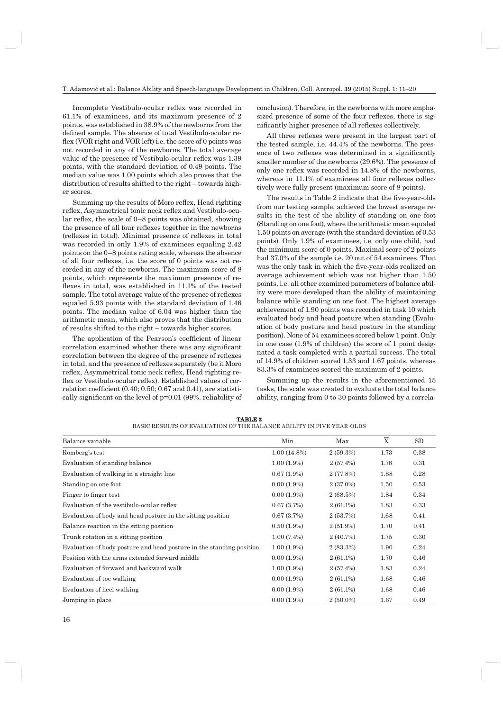Incomplete Vestibulo-ocular reflex was recorded in 61.1% of examinees, and its maximum presence of 2 points, was established in 38.9% of the newborns from the defined sample. The absence of total Vestibulo-ocular reflex (VOR right and VOR left) i.e. the score of 0 points was not recorded in any of the newborns. The total average value of the presence of Vestibulo-ocular reflex was  $1.39$ points, with the standard deviation of 0.49 points. The median value was 1.00 points which also proves that the distribution of results shifted to the right – towards higher scores.

Summing up the results of Moro reflex, Head righting reflex, Asymmetrical tonic neck reflex and Vestibulo-ocular reflex, the scale of  $0-8$  points was obtained, showing the presence of all four reflexes together in the newborns (reflexes in total). Minimal presence of reflexes in total was recorded in only 1.9% of examinees equaling 2.42 points on the 0–8 points rating scale, whereas the absence of all four reflexes, i.e. the score of 0 points was not recorded in any of the newborns. The maximum score of 8 points, which represents the maximum presence of reflexes in total, was established in 11.1% of the tested sample. The total average value of the presence of reflexes equaled 5.93 points with the standard deviation of 1.46 points. The median value of 6.04 was higher than the arithmetic mean, which also proves that the distribution of results shifted to the right – towards higher scores.

The application of the Pearson's coefficient of linear correlation examined whether there was any significant correlation between the degree of the presence of reflexes in total, and the presence of reflexes separately (be it Moro reflex, Asymmetrical tonic neck reflex, Head righting reflex or Vestibulo-ocular reflex). Established values of correlation coefficient  $(0.40; 0.50; 0.67$  and  $0.41)$ , are statistically significant on the level of  $p=0.01$  (99%. reliability of conclusion). Therefore, in the newborns with more emphasized presence of some of the four reflexes, there is significantly higher presence of all reflexes collectively.

All three reflexes were present in the largest part of the tested sample, i.e. 44.4% of the newborns. The presence of two reflexes was determined in a significantly smaller number of the newborns (29.6%). The presence of only one reflex was recorded in 14.8% of the newborns, whereas in 11.1% of examinees all four reflexes collectively were fully present (maximum score of 8 points).

The results in Table 2 indicate that the five-year-olds from our testing sample, achieved the lowest average results in the test of the ability of standing on one foot (Standing on one foot), where the arithmetic mean equaled 1.50 points on average (with the standard deviation of 0.53 points). Only 1.9% of examinees, i.e. only one child, had the minimum score of 0 points. Maximal score of 2 points had 37.0% of the sample i.e. 20 out of 54 examinees. That was the only task in which the five-year-olds realized an average achievement which was not higher than 1.50 points, i.e. all other examined parameters of balance ability were more developed than the ability of maintaining balance while standing on one foot. The highest average achievement of 1.90 points was recorded in task 10 which evaluated body and head posture when standing (Evaluation of body posture and head posture in the standing position). None of 54 examinees scored below 1 point. Only in one case (1.9% of children) the score of 1 point designated a task completed with a partial success. The total of 14.9% of children scored 1.33 and 1.67 points, whereas 83.3% of examinees scored the maximum of 2 points.

Summing up the results in the aforementioned 15 tasks, the scale was created to evaluate the total balance ability, ranging from 0 to 30 points followed by a correla-

| Balance variable                                                     | Min            | Max         | $\overline{\textbf{X}}$ | SD   |
|----------------------------------------------------------------------|----------------|-------------|-------------------------|------|
| Romberg's test                                                       | $1.00(14.8\%)$ | 2(59.3%)    | 1.73                    | 0.38 |
| Evaluation of standing balance                                       | $1.00(1.9\%)$  | 2(57.4%)    | 1.78                    | 0.31 |
| Evaluation of walking in a straight line                             | $0.67(1.9\%)$  | 2(77.8%)    | 1.88                    | 0.28 |
| Standing on one foot                                                 | $0.00(1.9\%)$  | $2(37.0\%)$ | 1.50                    | 0.53 |
| Finger to finger test                                                | $0.00(1.9\%)$  | $2(68.5\%)$ | 1.84                    | 0.34 |
| Evaluation of the vestibulo-ocular reflex                            | 0.67(3.7%)     | $2(61.1\%)$ | 1.83                    | 0.33 |
| Evaluation of body and head posture in the sitting position          | 0.67(3.7%)     | 2(53.7%)    | 1.68                    | 0.41 |
| Balance reaction in the sitting position                             | $0.50(1.9\%)$  | $2(51.9\%)$ | 1.70                    | 0.41 |
| Trunk rotation in a sitting position                                 | $1.00(7.4\%)$  | 2(40.7%)    | 1.75                    | 0.30 |
| Evaluation of body posture and head posture in the standing position | $1.00(1.9\%)$  | 2(83.3%)    | 1.90                    | 0.24 |
| Position with the arms extended forward middle                       | $0.00(1.9\%)$  | $2(61.1\%)$ | 1.70                    | 0.46 |
| Evaluation of forward and backward walk                              | $1.00(1.9\%)$  | 2(57.4%)    | 1.83                    | 0.24 |
| Evaluation of toe walking                                            | $0.00(1.9\%)$  | $2(61.1\%)$ | 1.68                    | 0.46 |
| Evaluation of heel walking                                           | $0.00(1.9\%)$  | $2(61.1\%)$ | 1.68                    | 0.46 |
| Jumping in place                                                     | $0.00(1.9\%)$  | $2(50.0\%)$ | 1.67                    | 0.49 |

**TABLE 2** BASIC RESULTS OF EVALUATION OF THE BALANCE ABILITY IN FIVE-YEAR-OLDS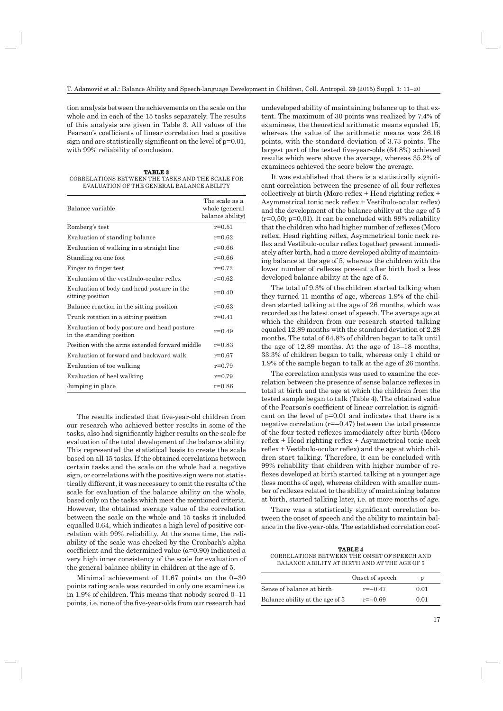tion analysis between the achievements on the scale on the whole and in each of the 15 tasks separately. The results of this analysis are given in Table 3. All values of the Pearson's coefficients of linear correlation had a positive sign and are statistically significant on the level of  $p=0.01$ , with 99% reliability of conclusion.

**TABLE 3** CORRELATIONS BETWEEN THE TASKS AND THE SCALE FOR EVALUATION OF THE GENERAL BALANCE ABILITY

| Balance variable                                                        | The scale as a<br>whole (general<br>balance ability) |
|-------------------------------------------------------------------------|------------------------------------------------------|
| Romberg's test                                                          | $r = 0.51$                                           |
| Evaluation of standing balance                                          | $r = 0.62$                                           |
| Evaluation of walking in a straight line                                | $r = 0.66$                                           |
| Standing on one foot                                                    | $r = 0.66$                                           |
| Finger to finger test                                                   | $r = 0.72$                                           |
| Evaluation of the vestibulo-ocular reflex                               | $r = 0.62$                                           |
| Evaluation of body and head posture in the<br>sitting position          | $r=0.40$                                             |
| Balance reaction in the sitting position                                | $r = 0.63$                                           |
| Trunk rotation in a sitting position                                    | $r = 0.41$                                           |
| Evaluation of body posture and head posture<br>in the standing position | $r=0.49$                                             |
| Position with the arms extended forward middle                          | $r = 0.83$                                           |
| Evaluation of forward and backward walk                                 | $r = 0.67$                                           |
| Evaluation of toe walking                                               | $r = 0.79$                                           |
| Evaluation of heel walking                                              | $r = 0.79$                                           |
| Jumping in place                                                        | $r = 0.86$                                           |
|                                                                         |                                                      |

The results indicated that five-year-old children from our research who achieved better results in some of the tasks, also had significantly higher results on the scale for evaluation of the total development of the balance ability. This represented the statistical basis to create the scale based on all 15 tasks. If the obtained correlations between certain tasks and the scale on the whole had a negative sign, or correlations with the positive sign were not statistically different, it was necessary to omit the results of the scale for evaluation of the balance ability on the whole, based only on the tasks which meet the mentioned criteria. However, the obtained average value of the correlation between the scale on the whole and 15 tasks it included equalled 0.64, which indicates a high level of positive correlation with 99% reliability. At the same time, the reliability of the scale was checked by the Cronbach's alpha coefficient and the determined value ( $\alpha$ =0,90) indicated a very high inner consistency of the scale for evaluation of the general balance ability in children at the age of 5.

Minimal achievement of 11.67 points on the 0–30 points rating scale was recorded in only one examinee i.e. in 1.9% of children. This means that nobody scored 0–11 points, i.e. none of the five-year-olds from our research had undeveloped ability of maintaining balance up to that extent. The maximum of 30 points was realized by 7.4% of examinees, the theoretical arithmetic means equaled 15, whereas the value of the arithmetic means was 26.16 points, with the standard deviation of 3.73 points. The largest part of the tested five-year-olds  $(64.8%)$  achieved results which were above the average, whereas 35.2% of examinees achieved the score below the average.

It was established that there is a statistically significant correlation between the presence of all four reflexes collectively at birth (Moro reflex  $+$  Head righting reflex  $+$ Asymmetrical tonic neck reflex  $+$  Vestibulo-ocular reflex) and the development of the balance ability at the age of 5  $(r=0.50; p=0.01)$ . It can be concluded with 99% reliability that the children who had higher number of reflexes (Moro reflex, Head righting reflex, Asymmetrical tonic neck reflex and Vestibulo-ocular reflex together) present immediately after birth, had a more developed ability of maintaining balance at the age of 5, whereas the children with the lower number of reflexes present after birth had a less developed balance ability at the age of 5.

The total of 9.3% of the children started talking when they turned 11 months of age, whereas 1.9% of the children started talking at the age of 26 months, which was recorded as the latest onset of speech. The average age at which the children from our research started talking equaled 12.89 months with the standard deviation of 2.28 months. The total of 64.8% of children began to talk until the age of 12.89 months. At the age of 13–18 months, 33.3% of children began to talk, whereas only 1 child or 1.9% of the sample began to talk at the age of 26 months.

The correlation analysis was used to examine the correlation between the presence of sense balance reflexes in total at birth and the age at which the children from the tested sample began to talk (Table 4). The obtained value of the Pearson's coefficient of linear correlation is significant on the level of p=0.01 and indicates that there is a negative correlation  $(r=-0.47)$  between the total presence of the four tested reflexes immediately after birth (Moro  $reflex + Head$  righting reflex  $+$  Asymmetrical tonic neck  $reflex + Vestibulo-ocular reflex)$  and the age at which children start talking. Therefore, it can be concluded with 99% reliability that children with higher number of reflexes developed at birth started talking at a younger age (less months of age), whereas children with smaller number of reflexes related to the ability of maintaining balance at birth, started talking later, i.e. at more months of age.

There was a statistically significant correlation between the onset of speech and the ability to maintain balance in the five-year-olds. The established correlation coef-

**TABLE 4** CORRELATIONS BETWEEN THE ONSET OF SPEECH AND BALANCE ABILITY AT BIRTH AND AT THE AGE OF 5

|                                 | Onset of speech | ŋ    |
|---------------------------------|-----------------|------|
| Sense of balance at birth       | $r = -0.47$     | 0.01 |
| Balance ability at the age of 5 | $r = -0.69$     | 0.01 |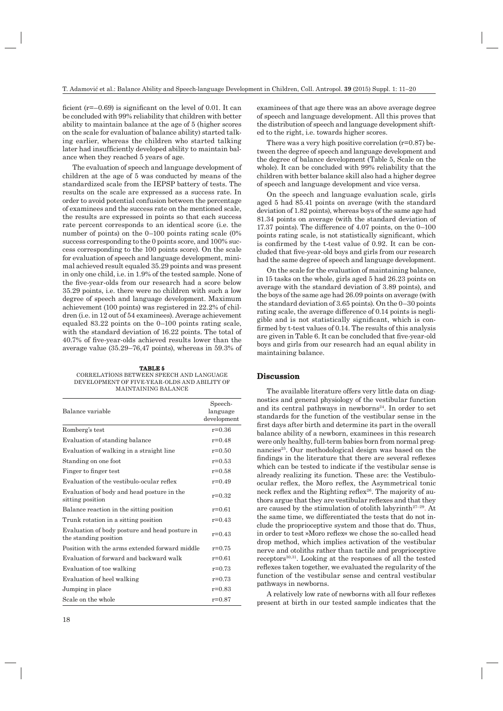ficient ( $r=-0.69$ ) is significant on the level of 0.01. It can be concluded with 99% reliability that children with better ability to maintain balance at the age of 5 (higher scores on the scale for evaluation of balance ability) started talking earlier, whereas the children who started talking later had insufficiently developed ability to maintain balance when they reached 5 years of age.

The evaluation of speech and language development of children at the age of 5 was conducted by means of the standardized scale from the IEPSP battery of tests. The results on the scale are expressed as a success rate. In order to avoid potential confusion between the percentage of examinees and the success rate on the mentioned scale, the results are expressed in points so that each success rate percent corresponds to an identical score (i.e. the number of points) on the 0–100 points rating scale (0% success corresponding to the 0 points score, and 100% success corresponding to the 100 points score). On the scale for evaluation of speech and language development, minimal achieved result equaled 35.29 points and was present in only one child, i.e. in 1.9% of the tested sample. None of the five-year-olds from our research had a score below 35.29 points, i.e. there were no children with such a low degree of speech and language development. Maximum achievement (100 points) was registered in 22.2% of children (i.e. in 12 out of 54 examinees). Average achievement equaled 83.22 points on the 0–100 points rating scale, with the standard deviation of 16.22 points. The total of 40.7% of five-year-olds achieved results lower than the average value (35.29–76,47 points), whereas in 59.3% of

**TABLE 5** CORRELATİONS BETWEEN SPEECH AND LANGUAGE DEVELOPMENT OF FIVE-YEAR-OLDS AND ABILITY OF MAINTAINING BALANCE

| Balance variable                                                        | Speech-<br>language<br>development |
|-------------------------------------------------------------------------|------------------------------------|
| Romberg's test                                                          | $r = 0.36$                         |
| Evaluation of standing balance                                          | $r = 0.48$                         |
| Evaluation of walking in a straight line                                | $r = 0.50$                         |
| Standing on one foot                                                    | $r = 0.53$                         |
| Finger to finger test                                                   | $r = 0.58$                         |
| Evaluation of the vestibulo-ocular reflex                               | $r = 0.49$                         |
| Evaluation of body and head posture in the<br>sitting position          | $r = 0.32$                         |
| Balance reaction in the sitting position                                | $r = 0.61$                         |
| Trunk rotation in a sitting position                                    | $r = 0.43$                         |
| Evaluation of body posture and head posture in<br>the standing position | $r=0.43$                           |
| Position with the arms extended forward middle                          | $r = 0.75$                         |
| Evaluation of forward and backward walk                                 | $r = 0.61$                         |
| Evaluation of toe walking                                               | $r = 0.73$                         |
| Evaluation of heel walking                                              | $r = 0.73$                         |
| Jumping in place                                                        | $r = 0.83$                         |
| Scale on the whole                                                      | $r = 0.87$                         |

examinees of that age there was an above average degree of speech and language development. All this proves that the distribution of speech and language development shifted to the right, i.e. towards higher scores.

There was a very high positive correlation  $(r=0.87)$  between the degree of speech and language development and the degree of balance development (Table 5, Scale on the whole). It can be concluded with 99% reliability that the children with better balance skill also had a higher degree of speech and language development and vice versa.

On the speech and language evaluation scale, girls aged 5 had 85.41 points on average (with the standard deviation of 1.82 points), whereas boys of the same age had 81.34 points on average (with the standard deviation of 17.37 points). The difference of 4.07 points, on the 0–100 points rating scale, is not statistically significant, which is confirmed by the t-test value of 0.92. It can be concluded that five-year-old boys and girls from our research had the same degree of speech and language development.

On the scale for the evaluation of maintaining balance, in 15 tasks on the whole, girls aged 5 had 26.23 points on average with the standard deviation of 3.89 points), and the boys of the same age had 26.09 points on average (with the standard deviation of 3.65 points). On the 0–30 points rating scale, the average difference of 0.14 points is negligible and is not statistically significant, which is confirmed by t-test values of 0.14. The results of this analysis are given in Table 6. It can be concluded that five-year-old boys and girls from our research had an equal ability in maintaining balance.

## **Discussion iscussion**

The available literature offers very little data on diagnostics and general physiology of the vestibular function and its central pathways in newborns<sup>24</sup>. In order to set standards for the function of the vestibular sense in the first days after birth and determine its part in the overall balance ability of a newborn, examinees in this research were only healthy, full-term babies born from normal pregnancies<sup>25</sup>. Our methodological design was based on the findings in the literature that there are several reflexes which can be tested to indicate if the vestibular sense is already realizing its function. These are: the Vestibuloocular reflex, the Moro reflex, the Asymmetrical tonic neck reflex and the Righting reflex $26$ . The majority of authors argue that they are vestibular reflexes and that they are caused by the stimulation of otolith labyrinth<sup>27–29</sup>. At the same time, we differentiated the tests that do not include the proprioceptive system and those that do. Thus, in order to test »Moro reflex« we chose the so-called head drop method, which implies activation of the vestibular nerve and otoliths rather than tactile and proprioceptive receptors30,31. Looking at the responses of all the tested reflexes taken together, we evaluated the regularity of the function of the vestibular sense and central vestibular pathways in newborns.

A relatively low rate of newborns with all four reflexes present at birth in our tested sample indicates that the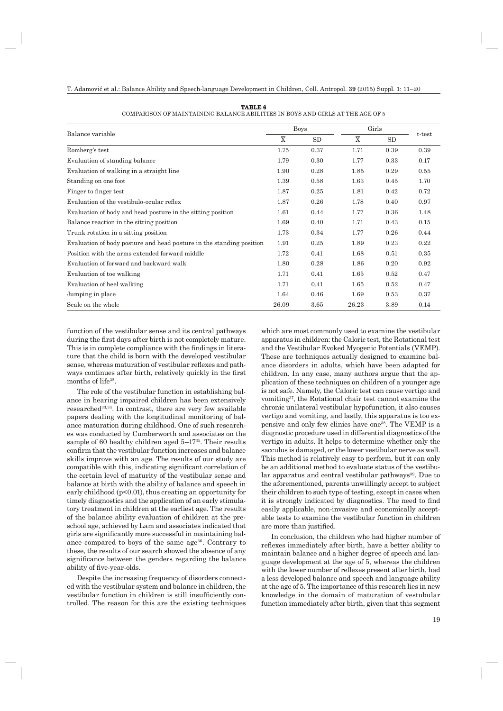| TABLE 6 |
|---------|
|---------|

| COMPARISON OF MAINTAINING BALANCE ABILITIES IN BOYS AND GIRLS AT THE AGE OF 5 |
|-------------------------------------------------------------------------------|
|-------------------------------------------------------------------------------|

|                                                                      | <b>Boys</b> |           | Girls                   |      |        |
|----------------------------------------------------------------------|-------------|-----------|-------------------------|------|--------|
| Balance variable                                                     |             | <b>SD</b> | $\overline{\mathrm{X}}$ | SD   | t-test |
| Romberg's test                                                       | 1.75        | 0.37      | 1.71                    | 0.39 | 0.39   |
| Evaluation of standing balance                                       | 1.79        | 0.30      | 1.77                    | 0.33 | 0.17   |
| Evaluation of walking in a straight line                             | 1.90        | 0.28      | 1.85                    | 0.29 | 0.55   |
| Standing on one foot                                                 | 1.39        | 0.58      | 1.63                    | 0.45 | 1.70   |
| Finger to finger test                                                | 1.87        | 0.25      | 1.81                    | 0.42 | 0.72   |
| Evaluation of the vestibulo-ocular reflex                            | 1.87        | 0.26      | 1.78                    | 0.40 | 0.97   |
| Evaluation of body and head posture in the sitting position          | 1.61        | 0.44      | 1.77                    | 0.36 | 1.48   |
| Balance reaction in the sitting position                             | 1.69        | 0.40      | 1.71                    | 0.43 | 0.15   |
| Trunk rotation in a sitting position                                 | 1.73        | 0.34      | 1.77                    | 0.26 | 0.44   |
| Evaluation of body posture and head posture in the standing position | 1.91        | 0.25      | 1.89                    | 0.23 | 0.22   |
| Position with the arms extended forward middle                       | 1.72        | 0.41      | 1.68                    | 0.51 | 0.35   |
| Evaluation of forward and backward walk                              | 1.80        | 0.28      | 1.86                    | 0.20 | 0.92   |
| Evaluation of toe walking                                            | 1.71        | 0.41      | 1.65                    | 0.52 | 0.47   |
| Evaluation of heel walking                                           | 1.71        | 0.41      | 1.65                    | 0.52 | 0.47   |
| Jumping in place                                                     | 1.64        | 0.46      | 1.69                    | 0.53 | 0.37   |
| Scale on the whole                                                   | 26.09       | 3.65      | 26.23                   | 3.89 | 0.14   |

function of the vestibular sense and its central pathways during the first days after birth is not completely mature. This is in complete compliance with the findings in literature that the child is born with the developed vestibular sense, whereas maturation of vestibular reflexes and pathways continues after birth, relatively quickly in the first months of life<sup>32</sup>.

The role of the vestibular function in establishing balance in hearing impaired children has been extensively researched<sup>33,34</sup>. In contrast, there are very few available papers dealing with the longitudinal monitoring of balance maturation during childhood. One of such researches was conducted by Cumberworth and associates on the sample of 60 healthy children aged  $5-17^{35}$ . Their results confirm that the vestibular function increases and balance skills improve with an age. The results of our study are compatible with this, indicating significant correlation of the certain level of maturity of the vestibular sense and balance at birth with the ability of balance and speech in early childhood ( $p<0.01$ ), thus creating an opportunity for timely diagnostics and the application of an early stimulatory treatment in children at the earliest age. The results of the balance ability evaluation of children at the preschool age, achieved by Lam and associates indicated that girls are significantly more successful in maintaining balance compared to boys of the same age<sup>36</sup>. Contrary to these, the results of our search showed the absence of any significance between the genders regarding the balance ability of five-year-olds.

Despite the increasing frequency of disorders connected with the vestibular system and balance in children, the vestibular function in children is still insufficiently controlled. The reason for this are the existing techniques which are most commonly used to examine the vestibular apparatus in children: the Caloric test, the Rotational test and the Vestibular Evoked Myogenic Potentials (VEMP). These are techniques actually designed to examine balance disorders in adults, which have been adapted for children. In any case, many authors argue that the application of these techniques on children of a younger age is not safe. Namely, the Caloric test can cause vertigo and vomiting37, the Rotational chair test cannot examine the chronic unilateral vestibular hypofunction, it also causes vertigo and vomiting, and lastly, this apparatus is too expensive and only few clinics have one38. The VEMP is a diagnostic procedure used in differential diagnostics of the vertigo in adults. It helps to determine whether only the sacculus is damaged, or the lower vestibular nerve as well. This method is relatively easy to perform, but it can only be an additional method to evaluate status of the vestibular apparatus and central vestibular pathways<sup>39</sup>. Due to the aforementioned, parents unwillingly accept to subject their children to such type of testing, except in cases when it is strongly indicated by diagnostics. The need to find easily applicable, non-invasive and economically acceptable tests to examine the vestibular function in children are more than justified.

In conclusion, the children who had higher number of reflexes immediately after birth, have a better ability to maintain balance and a higher degree of speech and language development at the age of 5, whereas the children with the lower number of reflexes present after birth, had a less developed balance and speech and language ability at the age of 5. The importance of this research lies in new knowledge in the domain of maturation of vestubular function immediately after birth, given that this segment